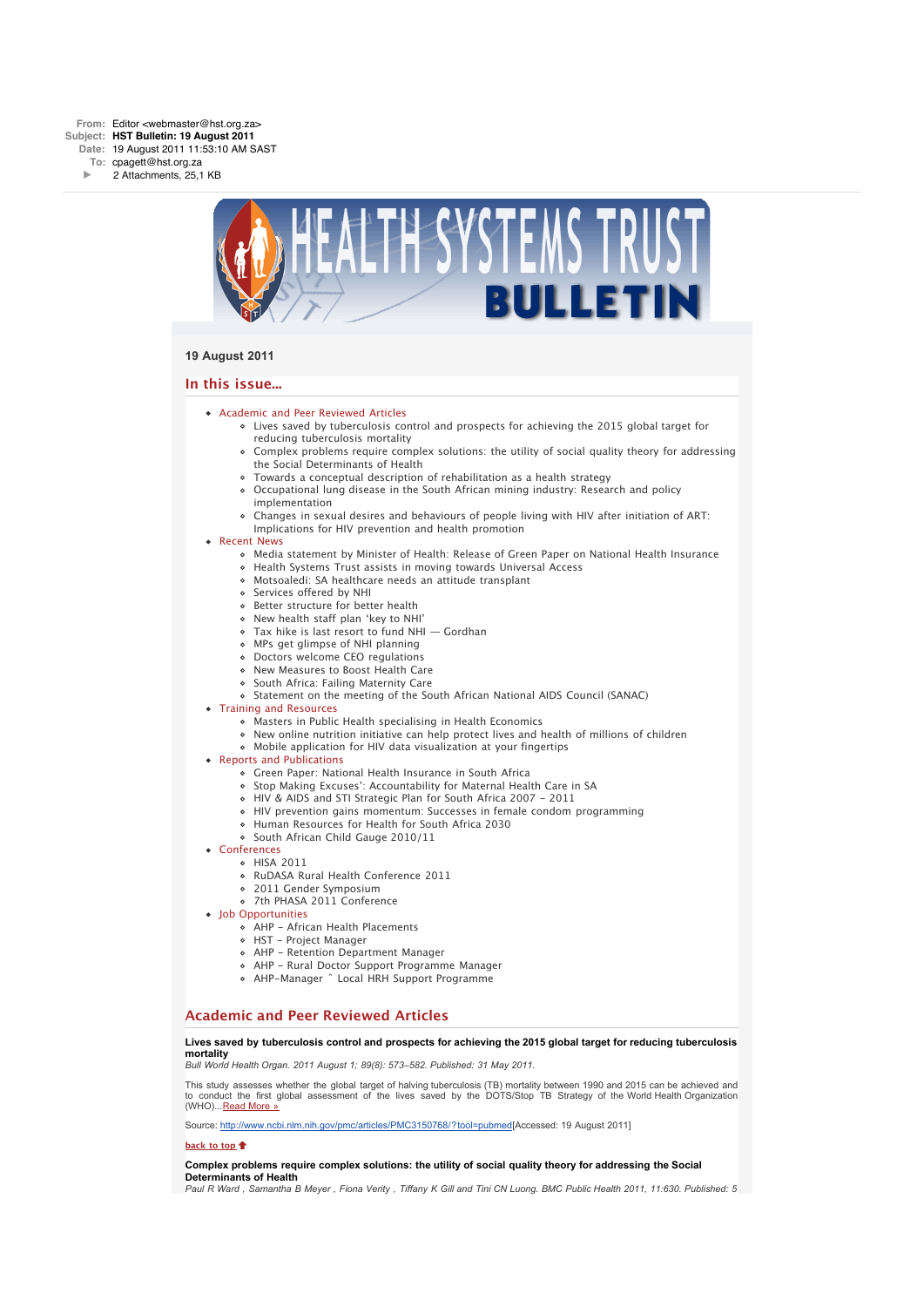

# **19 August 2011**

# **In this issue...**

- [Academic and Peer Reviewed Articles](x-msg://6/#Academic)
	- [Lives saved by tuberculosis control and prospects for achieving the 2015 global target for](x-msg://6/#A_00) reducing tuberculosis mortality
	- [Complex problems require complex solutions: the utility of social quality theory for addressing](x-msg://6/#A_0) the Social Determinants of Health
	- [Towards a conceptual description of rehabilitation as a health strategy](x-msg://6/#A_2)
	- [Occupational lung disease in the South African mining industry: Research and policy](x-msg://6/#A_6) implementation
	- [Changes in sexual desires and behaviours of people living with HIV after initiation of ART:](x-msg://6/#A_10) Implications for HIV prevention and health promotion
- [Recent News](x-msg://6/#recent)
	- [Media statement by Minister of Health: Release of Green Paper on National Health Insurance](x-msg://6/#N_5)
	- [Health Systems Trust assists in moving towards Universal Access](x-msg://6/#N_3)
	- [Motsoaledi: SA healthcare needs an attitude transplant](x-msg://6/#N_13)
	- [Services offered by NHI](x-msg://6/#N_2)
	- o [Better structure for better health](x-msg://6/#N_65)
	- [New health staff plan 'key to NHI'](x-msg://6/#N_0)
	- [Tax hike is last resort to fund NHI Gordhan](x-msg://6/#N_2)
	- [MPs get glimpse of NHI planning](x-msg://6/#N_14)
	- [Doctors welcome CEO regulations](x-msg://6/#N_9)
	- [New Measures to Boost Health Care](x-msg://6/#N_7)
	- o [South Africa: Failing Maternity Care](x-msg://6/#N_17)
	- [Statement on the meeting of the South African National AIDS Council \(SANAC\)](x-msg://6/#N_6)

# [Training and Resources](x-msg://6/#train)

- [Masters in Public Health specialising in Health Economics](x-msg://6/#T_1)
- [New online nutrition initiative can help protect lives and health of millions of children](x-msg://6/#T_2)
- [Mobile application for HIV data visualization at your fingertips](x-msg://6/#T_0)
- **[Reports and Publications](x-msg://6/#publications)** 
	- Green Paper: National Health Insurance in South Africa
	- Stop Making Excuses': Accountability for Maternal Health Care in SA
	- HIV & AIDS and STI Strategic Plan for South Africa 2007 2011
	- [HIV prevention gains momentum: Successes in female condom programming](x-msg://6/#P_3)
	- Human Resources for Health for South Africa 2030
	- o South African Child Gauge 2010/11
- [Conferences](x-msg://6/#conferences)
	- [HISA 2011](x-msg://6/#C_0)
		- [RuDASA Rural Health Conference 2011](x-msg://6/#C_2)
	- [2011 Gender Symposium](x-msg://6/#C_1)
		- [7th PHASA 2011 Conference](x-msg://6/#C_3)
- [Job Opportunities](x-msg://6/#jobs)
	- [AHP African Health Placements](x-msg://6/#J_0)
	- [HST Project Manager](x-msg://6/#J_1)
	- [AHP Retention Department Manager](x-msg://6/#J_2)
	- [AHP Rural Doctor Support Programme Manager](x-msg://6/#J_3)
	- [AHP-Manager ˆ Local HRH Support Programme](x-msg://6/#J_4)

# **Academic and Peer Reviewed Articles**

#### **Lives saved by tuberculosis control and prospects for achieving the 2015 global target for reducing tuberculosis mortality**

*Bull World Health Organ. 2011 August 1; 89(8): 573–582. Published: 31 May 2011.*

This study assesses whether the global target of halving tuberculosis (TB) mortality between 1990 and 2015 can be achieved and to conduct the first global assessment of the lives saved by the DOTS/Stop TB Strategy of the World Health Organization (WHO)... [Read More »](http://bulletin.hst.org.za//lt.php?id=K09XDVJcVQQFSlBRAkUHC1NR)

Source: [http://www.ncbi.nlm.nih.gov/pmc/articles/PMC3150768/?tool=pubmed](http://bulletin.hst.org.za//lt.php?id=K09XDVJcVQQFSlBRAkUHC1NR)[Accessed: 19 August 2011]

#### **[back to top](x-msg://6/#top)**

#### **Complex problems require complex solutions: the utility of social quality theory for addressing the Social Determinants of Health**

*Paul R Ward , Samantha B Meyer , Fiona Verity , Tiffany K Gill and Tini CN Luong. BMC Public Health 2011, 11:630. Published: 5*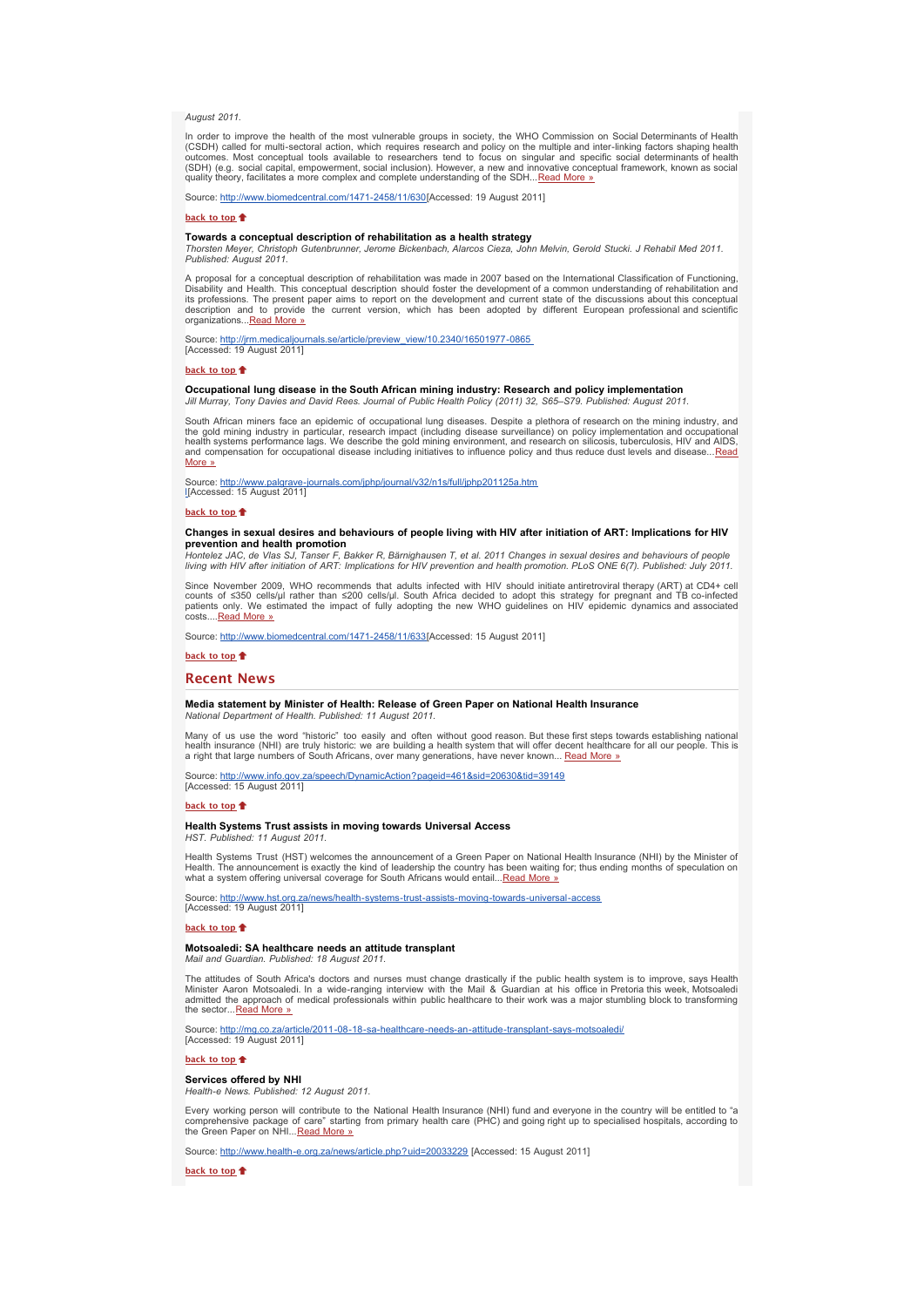*August 2011.*

In order to improve the health of the most vulnerable groups in society, the WHO Commission on Social Determinants of Health (CSDH) called for multi-sectoral action, which requires research and policy on the multiple and inter-linking factors shaping health<br>outcomes. Most conceptual tools available to researchers tend to focus on singular and sp (SDH) (e.g. social capital, empowerment, social inclusion). However, a new and innovative conceptual framework, known as social quality theory, facilitates a more complex and complete understanding of the SDH...[Read More »](http://bulletin.hst.org.za//lt.php?id=K09XDVJcVQQESlBRAkUHC1NR)

Source: [http://www.biomedcentral.com/1471-2458/11/630\[](http://bulletin.hst.org.za//lt.php?id=K09XDVJcVQQESlBRAkUHC1NR)Accessed: 19 August 2011]

**[back to top](x-msg://6/#top)**

**Towards a conceptual description of rehabilitation as a health strategy** *Thorsten Meyer, Christoph Gutenbrunner, Jerome Bickenbach, Alarcos Cieza, John Melvin, Gerold Stucki. J Rehabil Med 2011. Published: August 2011.*

A proposal for a conceptual description of rehabilitation was made in 2007 based on the International Classification of Functioning.<br>Disability and Health. This conceptual description should foster the development of a com its professions. The present paper aims to report on the development and current state of the discussions about this conceptual<br>description and to provide the current version, which has been adopted by different European p organizations...[Read More »](http://bulletin.hst.org.za//lt.php?id=K09XDVJcVQQDSlBRAkUHC1NR)

se/article/preview\_view/10.2340/16501977-0865 Source: http://jrm.medicaljou<br>[Accessed: 19 August 2011]

**[back to top](x-msg://6/#top)**

# **Occupational lung disease in the South African mining industry: Research and policy implementation**

*Jill Murray, Tony Davies and David Rees. Journal of Public Health Policy (2011) 32, S65–S79. Published: August 2011.*

South African miners face an epidemic of occupational lung diseases. Despite a plethora of research on the mining industry, and<br>the gold mining industry in particular, research impact (including disease surveillance) on po More »

[Source: http://www.palgrave-journals.com/jphp/journal/v32/n1s/full/jphp201125a.htm](http://bulletin.hst.org.za//lt.php?id=K09XDVJcVQQCSlBRAkUHC1NR)<br><u>l</u>[Accessed: 15 August 2011]

#### **[back to top](x-msg://6/#top)**

# **Changes in sexual desires and behaviours of people living with HIV after initiation of ART: Implications for HIV prevention and health promotion**

*Hontelez JAC, de Vlas SJ, Tanser F, Bakker R, Bärnighausen T, et al. 2011 Changes in sexual desires and behaviours of people living with HIV after initiation of ART: Implications for HIV prevention and health promotion. PLoS ONE 6(7). Published: July 2011.*

Since November 2009, WHO recommends that adults infected with HIV should initiate antiretroviral therapy (ART) at CD4+ cell counts of ≤350 cells/µl rather than ≤200 cells/µl. South Africa decided to adopt this strategy for pregnant and TB co-infected<br>patients only. We estimated the impact of fully adopting the new WHO guidelines on HIV epidemi costs...[.Read More »](http://bulletin.hst.org.za//lt.php?id=K09XDVJcVQQBSlBRAkUHC1NR)

Source: [http://www.biomedcentral.com/1471-2458/11/633\[](http://bulletin.hst.org.za//lt.php?id=K09XDVJcVQQBSlBRAkUHC1NR)Accessed: 15 August 2011]

#### **[back to top](x-msg://6/#top)**

#### **Recent News**

# **Media statement by Minister of Health: Release of Green Paper on National Health Insurance**

*National Department of Health. Published: 11 August 2011.*

Many of us use the word "historic" too easily and often without good reason. But these first steps towards establishing national<br>health insurance (NHI) are truly historic: we are building a health system that will offer de a right that large numbers of South Africans, over many generations, have never known... [Read More »](http://bulletin.hst.org.za//lt.php?id=K09XDVJcVQQASlBRAkUHC1NR)

Source: [http://www.info.gov.za/speech/DynamicAction?pageid=461&sid=20630&tid=39149](http://bulletin.hst.org.za//lt.php?id=K09XDVJcVQQPSlBRAkUHC1NR)<br>[Accessed: 15 August 2011]

# **[back to top](x-msg://6/#top)**

#### **Health Systems Trust assists in moving towards Universal Access** *HST. Published: 11 August 2011.*

Health Systems Trust (HST) welcomes the announcement of a Green Paper on National Health Insurance (NHI) by the Minister of<br>Health. The announcement is exactly the kind of leadership the country has been waiting for; thus what a system offering universal coverage for South Africans would entail...[Read More »](http://bulletin.hst.org.za//lt.php?id=K09XDVJcVQQOSlBRAkUHC1NR)

Source: [http://www.hst.org.za/news/health-systems-trust-assists-moving-towards-universal-access](http://bulletin.hst.org.za//lt.php?id=K09XDVJcVQQOSlBRAkUHC1NR)<br>[Accessed: 19 August 2011]

# **[back to top](x-msg://6/#top)**

#### **Motsoaledi: SA healthcare needs an attitude transplant**

*Mail and Guardian. Published: 18 August 2011.*

The attitudes of South Africa's doctors and nurses must change drastically if the public health system is to improve, says Health<br>Minister Aaron Motsoaledi. In a wide-ranging interview with the Mail & Guardian at his offic admitted the approach of medical professionals within public healthcare to their work was a major stumbling block to transforming<br>the sector...[Read More »](http://bulletin.hst.org.za//lt.php?id=K09XDVJcVQ4GSlBRAkUHC1NR)

Source: <u>[http://mg.co.za/article/2011-08-18-sa-healthcare-needs-an-attitude-transplant-says-motsoaledi/](http://bulletin.hst.org.za//lt.php?id=K09XDVJcVQ4FSlBRAkUHC1NR)</u><br>[Accessed: 19 August 2011]

# **[back to top](x-msg://6/#top)**

**Services offered by NHI**

*Health-e News. Published: 12 August 2011.*

Every working person will contribute to the National Health Insurance (NHI) fund and everyone in the country will be entitled to "a comprehensive package of care" starting from primary health care (PHC) and going right up to specialised hospitals, according to the Green Paper on NHI... [Read More »](http://bulletin.hst.org.za//lt.php?id=K09XDVJcVQUHSlBRAkUHC1NR)

Source: [http://www.health-e.org.za/news/article.php?uid=20033229](http://bulletin.hst.org.za//lt.php?id=K09XDVJcVQUHSlBRAkUHC1NR) [Accessed: 15 August 2011]

**[back to top](x-msg://6/#top)**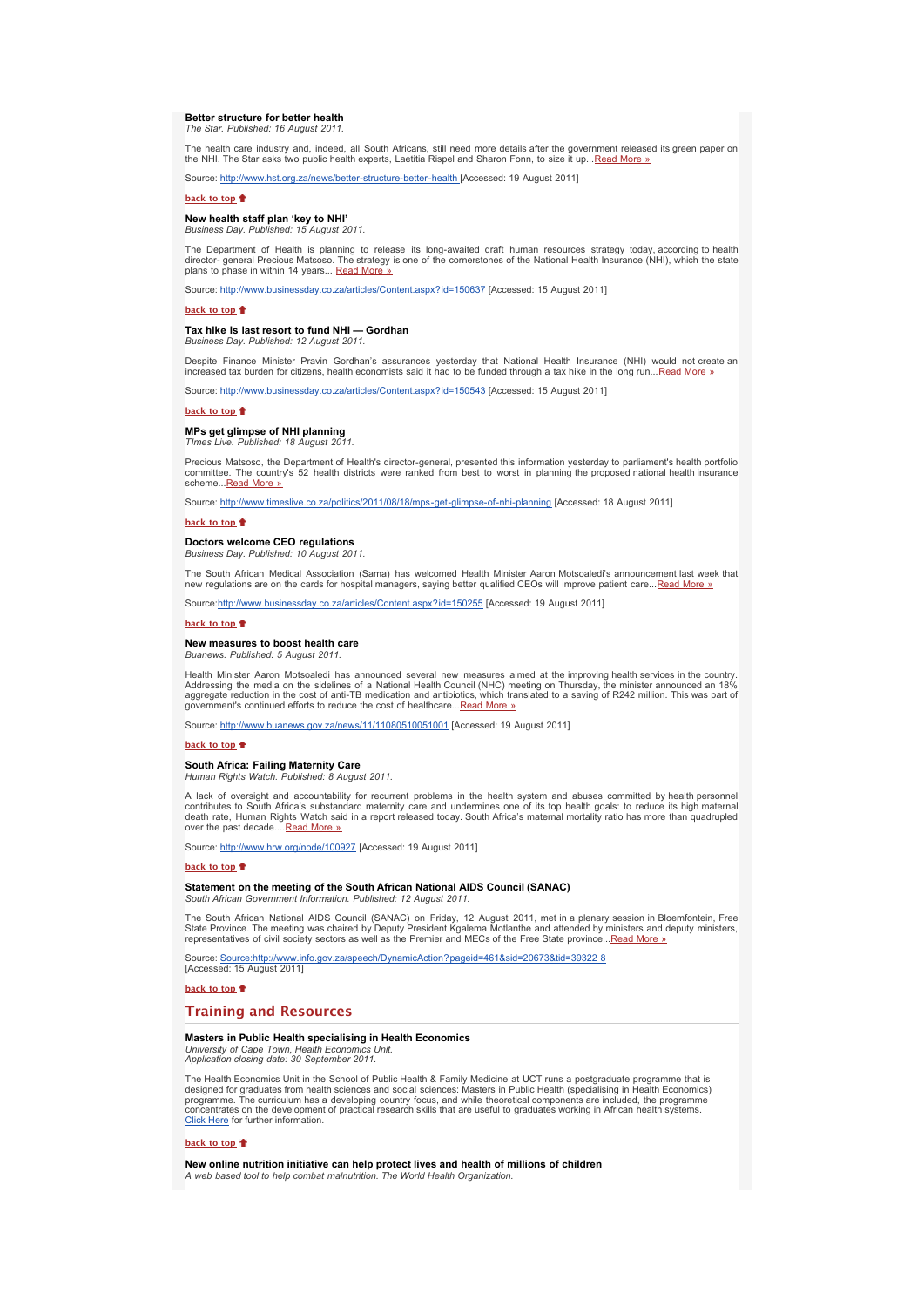# **Better structure for better health**

*The Star. Published: 16 August 2011.*

The health care industry and, indeed, all South Africans, still need more details after the government released its green paper on<br>the NHI. The Star asks two public health experts, Laetitia Rispel and Sharon Fonn, to size

Source: [http://www.hst.org.za/news/better-structure-better-health](http://bulletin.hst.org.za//lt.php?id=K09XDVJcVQ4CSlBRAkUHC1NR) [Accessed: 19 August 2011]

#### **[back to top](x-msg://6/#top)**

# **New health staff plan 'key to NHI'**

*Business Day. Published: 15 August 2011.*

The Department of Health is planning to release its long-awaited draft human resources strategy today, according to health<br>director-general Precious Matsoso. The strategy is one of the cornerstones of the National Health I

Source: [http://www.businessday.co.za/articles/Content.aspx?id=150637](http://bulletin.hst.org.za//lt.php?id=K09XDVJcVQUFSlBRAkUHC1NR) [Accessed: 15 August 2011]

#### **[back to top](x-msg://6/#top)**

#### **Tax hike is last resort to fund NHI — Gordhan** *Business Day. Published: 12 August 2011.*

Despite Finance Minister Pravin Gordhan's assurances yesterday that National Health Insurance (NHI) would not create an<br>increased tax burden for citizens, health economists said it had to be funded through a tax hike in th

Source: [http://www.businessday.co.za/articles/Content.aspx?id=150543](http://bulletin.hst.org.za//lt.php?id=K09XDVJcVQUDSlBRAkUHC1NR) [Accessed: 15 August 2011]

**[back to top](x-msg://6/#top)**

# **MPs get glimpse of NHI planning**

*TImes Live. Published: 18 August 2011.*

Precious Matsoso, the Department of Health's director-general, presented this information yesterday to parliament's health portfolio committee. The country's 52 health districts were ranked from best to worst in planning the proposed national health insurance scheme...<u>[Read More »](http://bulletin.hst.org.za//lt.php?id=K09XDVJcVQUCSlBRAkUHC1NR)</u>

Source: [http://www.timeslive.co.za/politics/2011/08/18/mps-get-glimpse-of-nhi-planning](http://bulletin.hst.org.za//lt.php?id=K09XDVJcVQUBSlBRAkUHC1NR) [Accessed: 18 August 2011]

#### **[back to top](x-msg://6/#top)**

#### **Doctors welcome CEO regulations**

*Business Day. Published: 10 August 2011.*

The South African Medical Association (Sama) has welcomed Health Minister Aaron Motsoaledi's announcement last week that<br>new regulations are on the cards for hospital managers, saying better qualified CEOs will improve pat

Source[:http://www.businessday.co.za/articles/Content.aspx?id=150255](http://bulletin.hst.org.za//lt.php?id=K09XDVJcVQIHSlBRAkUHC1NR) [Accessed: 19 August 2011]

# **[back to top](x-msg://6/#top)**  $\triangle$

#### **New measures to boost health care**

*Buanews. Published: 5 August 2011.*

Health Minister Aaron Motsoaledi has announced several new measures aimed at the improving health services in the country. Addressing the media on the sidelines of a National Health Council (NHC) meeting on Thursday, the minister announced an 18%<br>aggregate reduction in the cost of anti-TB medication and antibiotics, which translated to a savin government's continued efforts to reduce the cost of healthcare...<u>Read More »</u>

Source: [http://www.buanews.gov.za/news/11/11080510051001](http://bulletin.hst.org.za//lt.php?id=K09XDVJcVQIFSlBRAkUHC1NR) [Accessed: 19 August 2011]

#### **[back to top](x-msg://6/#top)**

#### **South Africa: Failing Maternity Care** *Human Rights Watch. Published: 8 August 2011.*

A lack of oversight and accountability for recurrent problems in the health system and abuses committed by health personnel<br>contributes to South Africa's substandard maternity care and undermines one of its top health goal death rate, Human Rights Watch said in a report released today. South Africa's maternal mortality ratio has more than quadrupled over the past decade....Read More

Source: [http://www.hrw.org/node/100927](http://bulletin.hst.org.za//lt.php?id=K09XDVJcVQIDSlBRAkUHC1NR) [Accessed: 19 August 2011]

#### **[back to top](x-msg://6/#top)**

# **Statement on the meeting of the South African National AIDS Council (SANAC)**

*South African Government Information. Published: 12 August 2011.*

The South African National AIDS Council (SANAC) on Friday, 12 August 2011, met in a plenary session in Bloemfontein, Free<br>State Province. The meeting was chaired by Deputy President Kgalema Motlanthe and attended by minist

info.gov.za/speech/DynamicAction?pageid=461&sid= Source: Source: http://www.in<br>[Accessed: 15 August 2011]

# **[back to top](x-msg://6/#top)**

# **Training and Resources**

# **Masters in Public Health specialising in Health Economics**<br>University of Cape Town, Health Economics Unit,

*University of Cape Town, Health Economics Unit. Application closing date: 30 September 2011.*

The Health Economics Unit in the School of Public Health & Family Medicine at UCT runs a postgraduate programme that is designed for graduates from health sciences and social sciences: Masters in Public Health (specialising in Health Economics)<br>programme. The curriculum has a developing country focus, and while theoretical components are in [Click Here](http://bulletin.hst.org.za//lt.php?id=K09XDVJcVQIPSlBRAkUHC1NR) for further information.

#### **[back to top](x-msg://6/#top)**

# **New online nutrition initiative can help protect lives and health of millions of children** *A web based tool to help combat malnutrition. The World Health Organization.*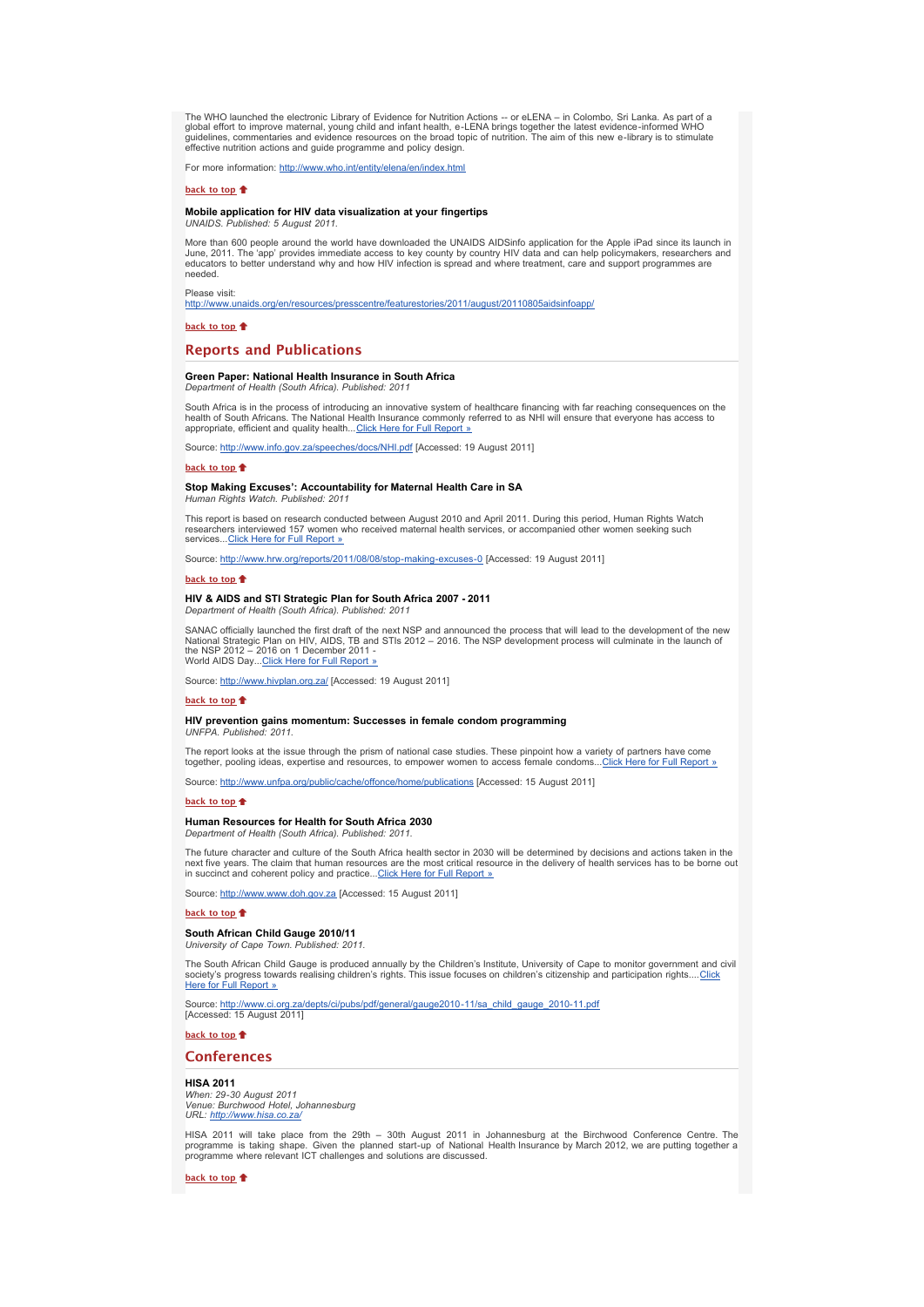The WHO launched the electronic Library of Evidence for Nutrition Actions -- or eLENA – in Colombo, Sri Lanka. As part of a<br>global effort to improve maternal, young child and infant health, e-LENA brings together the lates effective nutrition actions and guide programme and policy design.

For more information: [http://www.who.int/entity/elena/en/index.html](http://bulletin.hst.org.za//lt.php?id=K09XDVJcVQIOSlBRAkUHC1NR)

# **[back to top](x-msg://6/#top)**  $\triangleq$

# **Mobile application for HIV data visualization at your fingertips**

*UNAIDS. Published: 5 August 2011.*

More than 600 people around the world have downloaded the UNAIDS AIDSinfo application for the Apple iPad since its launch in<br>June, 2011. The 'app' provides immediate access to key county by country HIV data and can help po needed.

Please visit:

[http://www.unaids.org/en/resources/presscentre/featurestories/2011/august/20110805aidsinfoapp/](http://bulletin.hst.org.za//lt.php?id=K09XDVJcVQMHSlBRAkUHC1NR)

**[back to top](x-msg://6/#top)**

# **Reports and Publications**

#### **Green Paper: National Health Insurance in South Africa**

*Department of Health (South Africa). Published: 2011*

South Africa is in the process of introducing an innovative system of healthcare financing with far reaching consequences on the<br>health of South Africans. The National Health Insurance commonly referred to as NHI will ensu appropriate, efficient and quality health... [Click Here for Full Report »](http://bulletin.hst.org.za//lt.php?id=K09XDVJcVQMGSlBRAkUHC1NR)

Source: [http://www.info.gov.za/speeches/docs/NHI.pdf](http://bulletin.hst.org.za//lt.php?id=K09XDVJcVQMFSlBRAkUHC1NR) [Accessed: 19 August 2011]

#### **[back to top](x-msg://6/#top)**

# **Stop Making Excuses': Accountability for Maternal Health Care in SA**

*Human Rights Watch. Published: 2011*

This report is based on research conducted between August 2010 and April 2011. During this period, Human Rights Watch researchers interviewed 157 women who received maternal health services, or accompanied other women seeking such<br>services...[Click Here for Full Report »](http://bulletin.hst.org.za//lt.php?id=K09XDVJcVQMESlBRAkUHC1NR)

Source: [http://www.hrw.org/reports/2011/08/08/stop-making-excuses-0](http://bulletin.hst.org.za//lt.php?id=K09XDVJcVQMDSlBRAkUHC1NR) [Accessed: 19 August 2011]

#### **[back to top](x-msg://6/#top)**

**HIV & AIDS and STI Strategic Plan for South Africa 2007 - 2011** *Department of Health (South Africa). Published: 2011*

SANAC officially launched the first draft of the next NSP and announced the process that will lead to the development of the new<br>National Strategic Plan on HIV, AIDS, TB and STIs 2012 – 2016. The NSP development process wi World AIDS Day... [Click Here for Full Report »](http://bulletin.hst.org.za//lt.php?id=K09XDVJcVQMCSlBRAkUHC1NR)

Source: [http://www.hivplan.org.za/](http://bulletin.hst.org.za//lt.php?id=K09XDVJcVQMBSlBRAkUHC1NR) [Accessed: 19 August 2011]

# **[back to top](x-msg://6/#top)**

#### **HIV prevention gains momentum: Successes in female condom programming** *UNFPA. Published: 2011.*

The report looks at the issue through the prism of national case studies. These pinpoint how a variety of partners have come<br>together, pooling ideas, expertise and resources, to empower women to access female condoms...Cli

Source: [http://www.unfpa.org/public/cache/offonce/home/publications](http://bulletin.hst.org.za//lt.php?id=K09XDVJcVQMPSlBRAkUHC1NR) [Accessed: 15 August 2011]

#### **[back to top](x-msg://6/#top)**

#### **Human Resources for Health for South Africa 2030** *Department of Health (South Africa). Published: 2011.*

The future character and culture of the South Africa health sector in 2030 will be determined by decisions and actions taken in the next five years. The claim that human resources are the most critical resource in the delivery of health services has to be borne out in succinct and coherent policy and practice... [Click Here for Full Report »](http://bulletin.hst.org.za//lt.php?id=K09XDVJcVQMOSlBRAkUHC1NR)

Source: [http://www.www.doh.gov.za](http://bulletin.hst.org.za//lt.php?id=K09XDVJcVQAHSlBRAkUHC1NR) [Accessed: 15 August 2011]

#### **[back to top](x-msg://6/#top)**

# **South African Child Gauge 2010/11**

*University of Cape Town. Published: 2011.*

The South African Child Gauge is produced annually by the Children's Institute, University of Cape to monitor government and civil<br>society's progress towards realising children's rights. This issue focuses on children's ci

Source: [http://www.ci.org.za/depts/ci/pubs/pdf/general/gauge2010-11/sa\\_child\\_gauge\\_2010-11.pdf](http://bulletin.hst.org.za//lt.php?id=K09XDVJcVQAFSlBRAkUHC1NR)<br>[Accessed: 15 August 2011]

**[back to top](x-msg://6/#top)**

## **Conferences**

#### **HISA 2011**

*When: 29-30 August 2011 Venue: Burchwood Hotel, Johannesburg URL: [http://www.hisa.co.za/](http://bulletin.hst.org.za//lt.php?id=K09XDVJcVQAESlBRAkUHC1NR)*

HISA 2011 will take place from the 29th – 30th August 2011 in Johannesburg at the Birchwood Conference Centre. The programme is taking shape. Given the planned start-up of National Health Insurance by March 2012, we are putting together a programme where relevant ICT challenges and solutions are discussed.

**[back to top](x-msg://6/#top)**